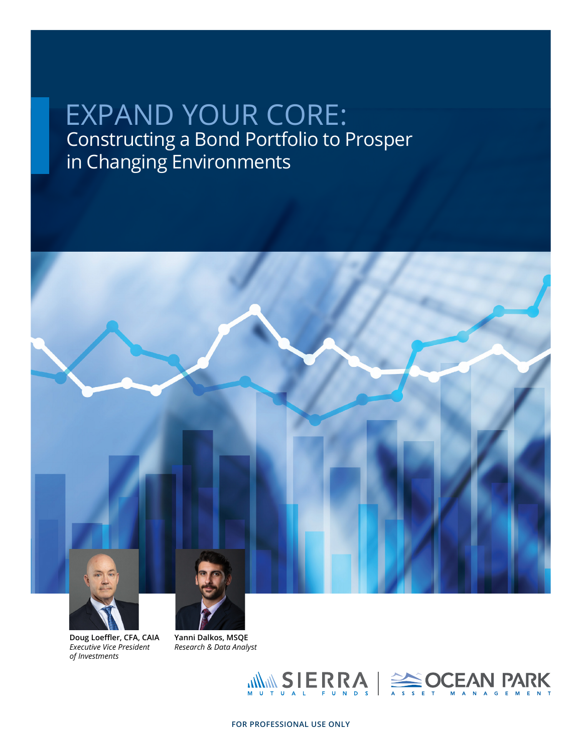# Constructing a Bond Portfolio to Prosper in Changing Environments EXPAND YOUR CORE:



**Doug Loeffler, CFA, CAIA** *Executive Vice President of Investments*

**Yanni Dalkos, MSQE** *Research & Data Analyst*

WWW SIERRA | SOCEAN PARK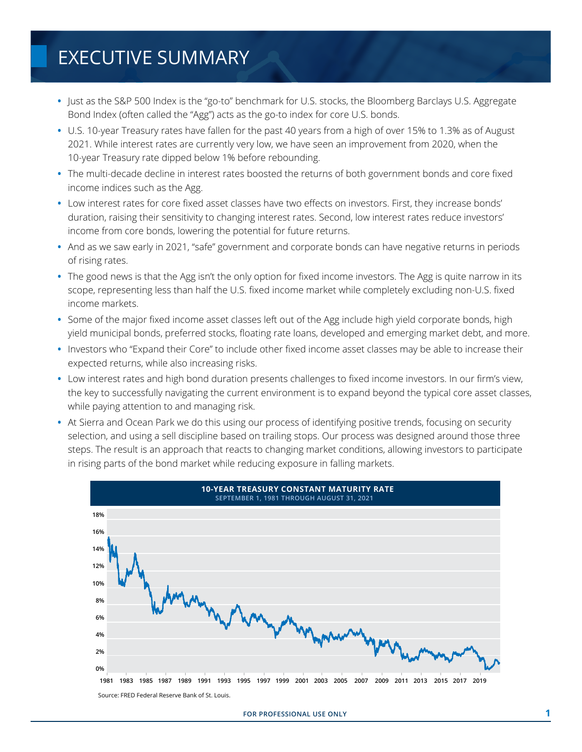# EXECUTIVE SUMMARY

- **•** Just as the S&P 500 Index is the "go-to" benchmark for U.S. stocks, the Bloomberg Barclays U.S. Aggregate Bond Index (often called the "Agg") acts as the go-to index for core U.S. bonds.
- **•** U.S. 10-year Treasury rates have fallen for the past 40 years from a high of over 15% to 1.3% as of August 2021. While interest rates are currently very low, we have seen an improvement from 2020, when the 10-year Treasury rate dipped below 1% before rebounding.
- **•** The multi-decade decline in interest rates boosted the returns of both government bonds and core fixed income indices such as the Agg.
- Low interest rates for core fixed asset classes have two effects on investors. First, they increase bonds' duration, raising their sensitivity to changing interest rates. Second, low interest rates reduce investors' income from core bonds, lowering the potential for future returns.
- **•** And as we saw early in 2021, "safe" government and corporate bonds can have negative returns in periods of rising rates.
- The good news is that the Agg isn't the only option for fixed income investors. The Agg is quite narrow in its scope, representing less than half the U.S. fixed income market while completely excluding non-U.S. fixed income markets.
- **•** Some of the major fixed income asset classes left out of the Agg include high yield corporate bonds, high yield municipal bonds, preferred stocks, floating rate loans, developed and emerging market debt, and more.
- Investors who "Expand their Core" to include other fixed income asset classes may be able to increase their expected returns, while also increasing risks.
- **•** Low interest rates and high bond duration presents challenges to fixed income investors. In our firm's view, the key to successfully navigating the current environment is to expand beyond the typical core asset classes, while paying attention to and managing risk.
- **•** At Sierra and Ocean Park we do this using our process of identifying positive trends, focusing on security selection, and using a sell discipline based on trailing stops. Our process was designed around those three steps. The result is an approach that reacts to changing market conditions, allowing investors to participate in rising parts of the bond market while reducing exposure in falling markets.

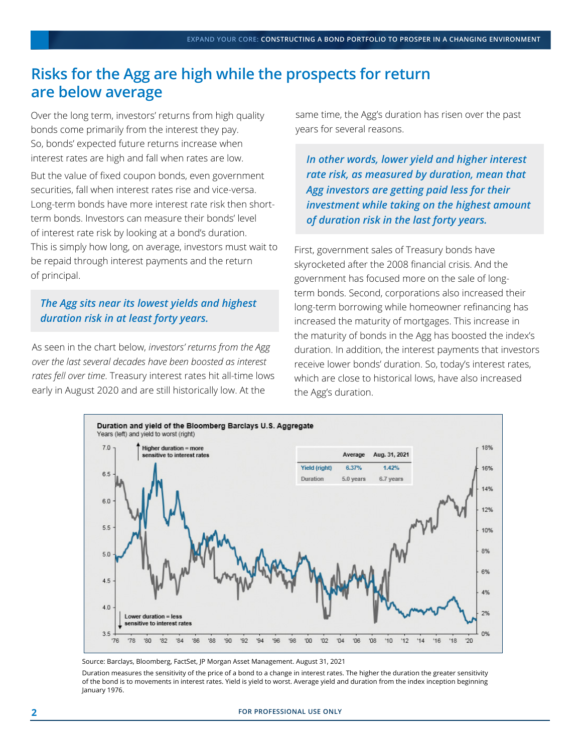### **Risks for the Agg are high while the prospects for return are below average**

Over the long term, investors' returns from high quality bonds come primarily from the interest they pay. So, bonds' expected future returns increase when interest rates are high and fall when rates are low.

But the value of fixed coupon bonds, even government securities, fall when interest rates rise and vice-versa. Long-term bonds have more interest rate risk then shortterm bonds. Investors can measure their bonds' level of interest rate risk by looking at a bond's duration. This is simply how long, on average, investors must wait to be repaid through interest payments and the return of principal.

#### *The Agg sits near its lowest yields and highest duration risk in at least forty years.*

As seen in the chart below, *investors' returns from the Agg over the last several decades have been boosted as interest rates fell over time*. Treasury interest rates hit all-time lows early in August 2020 and are still historically low. At the

same time, the Agg's duration has risen over the past years for several reasons.

*In other words, lower yield and higher interest rate risk, as measured by duration, mean that Agg investors are getting paid less for their investment while taking on the highest amount of duration risk in the last forty years.*

First, government sales of Treasury bonds have skyrocketed after the 2008 financial crisis. And the government has focused more on the sale of longterm bonds. Second, corporations also increased their long-term borrowing while homeowner refinancing has increased the maturity of mortgages. This increase in the maturity of bonds in the Agg has boosted the index's duration. In addition, the interest payments that investors receive lower bonds' duration. So, today's interest rates, which are close to historical lows, have also increased the Agg's duration.



Source: Barclays, Bloomberg, FactSet, JP Morgan Asset Management. August 31, 2021

Duration measures the sensitivity of the price of a bond to a change in interest rates. The higher the duration the greater sensitivity of the bond is to movements in interest rates. Yield is yield to worst. Average yield and duration from the index inception beginning January 1976.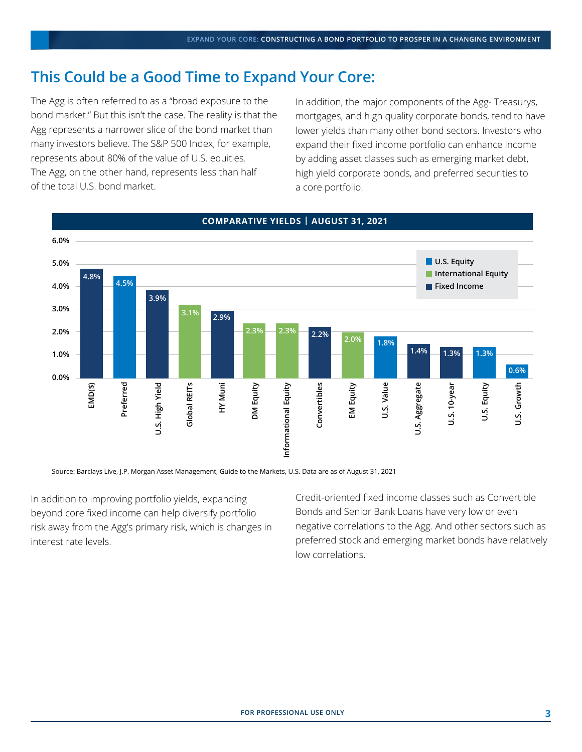### **This Could be a Good Time to Expand Your Core:**

The Agg is often referred to as a "broad exposure to the bond market." But this isn't the case. The reality is that the Agg represents a narrower slice of the bond market than many investors believe. The S&P 500 Index, for example, represents about 80% of the value of U.S. equities. The Agg, on the other hand, represents less than half of the total U.S. bond market.

In addition, the major components of the Agg- Treasurys, mortgages, and high quality corporate bonds, tend to have lower yields than many other bond sectors. Investors who expand their fixed income portfolio can enhance income by adding asset classes such as emerging market debt, high yield corporate bonds, and preferred securities to a core portfolio.



#### **COMPARATIVE YIELDS | AUGUST 31, 2021**

Source: Barclays Live, J.P. Morgan Asset Management, Guide to the Markets, U.S. Data are as of August 31, 2021

In addition to improving portfolio yields, expanding beyond core fixed income can help diversify portfolio risk away from the Agg's primary risk, which is changes in interest rate levels.

Credit-oriented fixed income classes such as Convertible Bonds and Senior Bank Loans have very low or even negative correlations to the Agg. And other sectors such as preferred stock and emerging market bonds have relatively low correlations.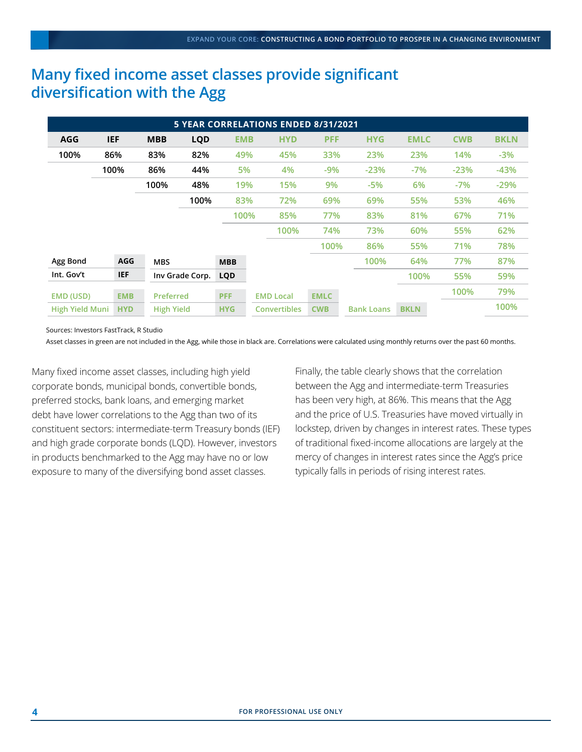### **Many fixed income asset classes provide significant diversification with the Agg**

| <b>5 YEAR CORRELATIONS ENDED 8/31/2021</b> |            |                 |                   |            |                     |             |                   |             |            |             |
|--------------------------------------------|------------|-----------------|-------------------|------------|---------------------|-------------|-------------------|-------------|------------|-------------|
| <b>AGG</b>                                 | <b>IEF</b> | <b>MBB</b>      | <b>LQD</b>        | <b>EMB</b> | <b>HYD</b>          | <b>PFF</b>  | <b>HYG</b>        | <b>EMLC</b> | <b>CWB</b> | <b>BKLN</b> |
| 100%                                       | 86%        | 83%             | 82%               | 49%        | 45%                 | 33%         | 23%               | 23%         | 14%        | $-3%$       |
|                                            | 100%       |                 | 44%               | 5%         | 4%                  | $-9%$       | $-23%$            | $-7%$       | $-23%$     | $-43%$      |
|                                            |            | 100%            | 48%               | 19%        | 15%                 | 9%          | $-5%$             | 6%          | $-7%$      | $-29%$      |
|                                            |            |                 | 100%              | 83%        | 72%                 | 69%         | 69%               | 55%         | 53%        | 46%         |
|                                            |            |                 |                   | 100%       | 85%                 | 77%         | 83%               | 81%         | 67%        | 71%         |
|                                            |            |                 |                   |            | 100%                | 74%         | 73%               | 60%         | 55%        | 62%         |
|                                            |            |                 |                   |            |                     | 100%        | 86%               | 55%         | 71%        | 78%         |
| Agg Bond                                   | <b>AGG</b> | <b>MBS</b>      |                   | <b>MBB</b> |                     |             | 100%              | 64%         | 77%        | 87%         |
| Int. Gov't                                 | <b>IEF</b> | Inv Grade Corp. |                   | <b>LQD</b> |                     |             |                   | 100%        | 55%        | 59%         |
| EMD (USD)                                  | <b>EMB</b> | Preferred       |                   | <b>PFF</b> | <b>EMD Local</b>    | <b>EMLC</b> |                   |             | 100%       | 79%         |
| <b>High Yield Muni</b>                     | <b>HYD</b> |                 | <b>High Yield</b> |            | <b>Convertibles</b> | <b>CWB</b>  | <b>Bank Loans</b> | <b>BKLN</b> |            | 100%        |

Sources: Investors FastTrack, R Studio

Asset classes in green are not included in the Agg, while those in black are. Correlations were calculated using monthly returns over the past 60 months.

Many fixed income asset classes, including high yield corporate bonds, municipal bonds, convertible bonds, preferred stocks, bank loans, and emerging market debt have lower correlations to the Agg than two of its constituent sectors: intermediate-term Treasury bonds (IEF) and high grade corporate bonds (LQD). However, investors in products benchmarked to the Agg may have no or low exposure to many of the diversifying bond asset classes.

Finally, the table clearly shows that the correlation between the Agg and intermediate-term Treasuries has been very high, at 86%. This means that the Agg and the price of U.S. Treasuries have moved virtually in lockstep, driven by changes in interest rates. These types of traditional fixed-income allocations are largely at the mercy of changes in interest rates since the Agg's price typically falls in periods of rising interest rates.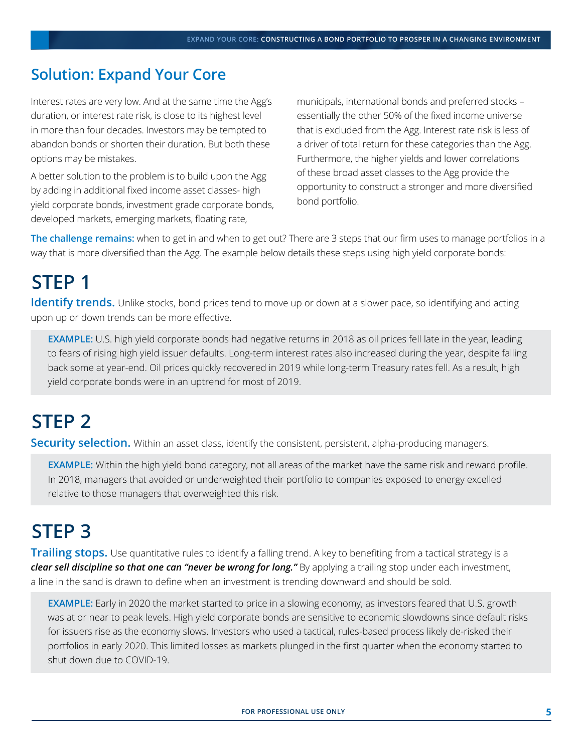### **Solution: Expand Your Core**

Interest rates are very low. And at the same time the Agg's duration, or interest rate risk, is close to its highest level in more than four decades. Investors may be tempted to abandon bonds or shorten their duration. But both these options may be mistakes.

A better solution to the problem is to build upon the Agg by adding in additional fixed income asset classes- high yield corporate bonds, investment grade corporate bonds, developed markets, emerging markets, floating rate,

municipals, international bonds and preferred stocks – essentially the other 50% of the fixed income universe that is excluded from the Agg. Interest rate risk is less of a driver of total return for these categories than the Agg. Furthermore, the higher yields and lower correlations of these broad asset classes to the Agg provide the opportunity to construct a stronger and more diversified bond portfolio.

**The challenge remains:** when to get in and when to get out? There are 3 steps that our firm uses to manage portfolios in a way that is more diversified than the Agg. The example below details these steps using high yield corporate bonds:

## **STEP 1**

**Identify trends.** Unlike stocks, bond prices tend to move up or down at a slower pace, so identifying and acting upon up or down trends can be more effective.

**EXAMPLE:** U.S. high yield corporate bonds had negative returns in 2018 as oil prices fell late in the year, leading to fears of rising high yield issuer defaults. Long-term interest rates also increased during the year, despite falling back some at year-end. Oil prices quickly recovered in 2019 while long-term Treasury rates fell. As a result, high yield corporate bonds were in an uptrend for most of 2019.

# **STEP 2**

**Security selection.** Within an asset class, identify the consistent, persistent, alpha-producing managers.

**EXAMPLE:** Within the high yield bond category, not all areas of the market have the same risk and reward profile. In 2018, managers that avoided or underweighted their portfolio to companies exposed to energy excelled relative to those managers that overweighted this risk.

## **STEP 3**

**Trailing stops.** Use quantitative rules to identify a falling trend. A key to benefiting from a tactical strategy is a *clear sell discipline so that one can "never be wrong for long."* By applying a trailing stop under each investment, a line in the sand is drawn to define when an investment is trending downward and should be sold.

**EXAMPLE:** Early in 2020 the market started to price in a slowing economy, as investors feared that U.S. growth was at or near to peak levels. High yield corporate bonds are sensitive to economic slowdowns since default risks for issuers rise as the economy slows. Investors who used a tactical, rules-based process likely de-risked their portfolios in early 2020. This limited losses as markets plunged in the first quarter when the economy started to shut down due to COVID-19.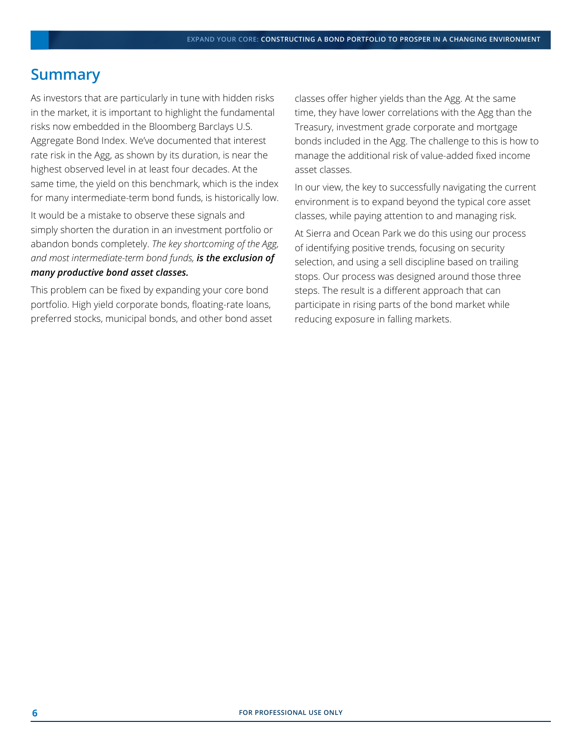#### **Summary**

As investors that are particularly in tune with hidden risks in the market, it is important to highlight the fundamental risks now embedded in the Bloomberg Barclays U.S. Aggregate Bond Index. We've documented that interest rate risk in the Agg, as shown by its duration, is near the highest observed level in at least four decades. At the same time, the yield on this benchmark, which is the index for many intermediate-term bond funds, is historically low.

It would be a mistake to observe these signals and simply shorten the duration in an investment portfolio or abandon bonds completely. *The key shortcoming of the Agg, and most intermediate-term bond funds, is the exclusion of many productive bond asset classes.* 

This problem can be fixed by expanding your core bond portfolio. High yield corporate bonds, floating-rate loans, preferred stocks, municipal bonds, and other bond asset classes offer higher yields than the Agg. At the same time, they have lower correlations with the Agg than the Treasury, investment grade corporate and mortgage bonds included in the Agg. The challenge to this is how to manage the additional risk of value-added fixed income asset classes.

In our view, the key to successfully navigating the current environment is to expand beyond the typical core asset classes, while paying attention to and managing risk.

At Sierra and Ocean Park we do this using our process of identifying positive trends, focusing on security selection, and using a sell discipline based on trailing stops. Our process was designed around those three steps. The result is a different approach that can participate in rising parts of the bond market while reducing exposure in falling markets.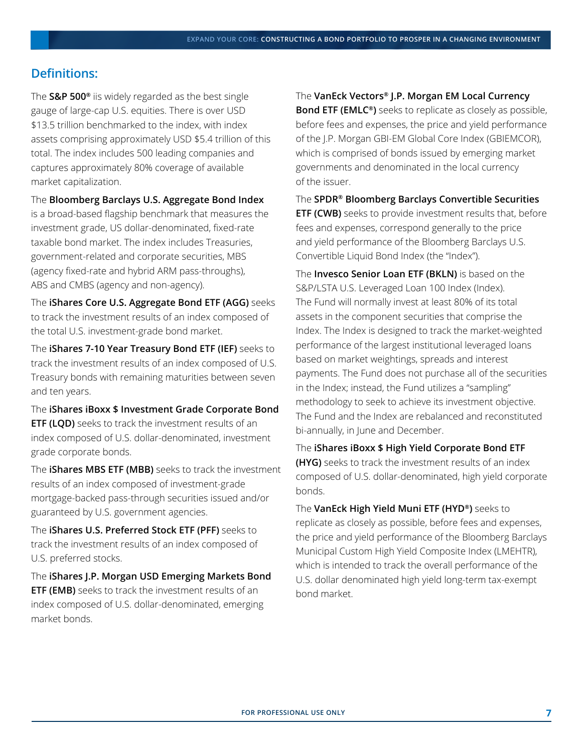#### **Definitions:**

The **S&P 500®** iis widely regarded as the best single gauge of large-cap U.S. equities. There is over USD \$13.5 trillion benchmarked to the index, with index assets comprising approximately USD \$5.4 trillion of this total. The index includes 500 leading companies and captures approximately 80% coverage of available market capitalization.

The **Bloomberg Barclays U.S. Aggregate Bond Index** 

is a broad-based flagship benchmark that measures the investment grade, US dollar-denominated, fixed-rate taxable bond market. The index includes Treasuries, government-related and corporate securities, MBS (agency fixed-rate and hybrid ARM pass-throughs), ABS and CMBS (agency and non-agency).

The **iShares Core U.S. Aggregate Bond ETF (AGG)** seeks to track the investment results of an index composed of the total U.S. investment-grade bond market.

The **iShares 7-10 Year Treasury Bond ETF (IEF)** seeks to track the investment results of an index composed of U.S. Treasury bonds with remaining maturities between seven and ten years.

The **iShares iBoxx \$ Investment Grade Corporate Bond ETF (LQD)** seeks to track the investment results of an index composed of U.S. dollar-denominated, investment grade corporate bonds.

The **iShares MBS ETF (MBB)** seeks to track the investment results of an index composed of investment-grade mortgage-backed pass-through securities issued and/or guaranteed by U.S. government agencies.

The **iShares U.S. Preferred Stock ETF (PFF)** seeks to track the investment results of an index composed of U.S. preferred stocks.

The **iShares J.P. Morgan USD Emerging Markets Bond ETF (EMB)** seeks to track the investment results of an index composed of U.S. dollar-denominated, emerging market bonds.

The **VanEck Vectors® J.P. Morgan EM Local Currency Bond ETF (EMLC®)** seeks to replicate as closely as possible, before fees and expenses, the price and yield performance of the J.P. Morgan GBI-EM Global Core Index (GBIEMCOR), which is comprised of bonds issued by emerging market governments and denominated in the local currency of the issuer.

The **SPDR® Bloomberg Barclays Convertible Securities ETF (CWB)** seeks to provide investment results that, before fees and expenses, correspond generally to the price and yield performance of the Bloomberg Barclays U.S. Convertible Liquid Bond Index (the "Index").

The **Invesco Senior Loan ETF (BKLN)** is based on the S&P/LSTA U.S. Leveraged Loan 100 Index (Index). The Fund will normally invest at least 80% of its total assets in the component securities that comprise the Index. The Index is designed to track the market-weighted performance of the largest institutional leveraged loans based on market weightings, spreads and interest payments. The Fund does not purchase all of the securities in the Index; instead, the Fund utilizes a "sampling" methodology to seek to achieve its investment objective. The Fund and the Index are rebalanced and reconstituted bi-annually, in June and December.

The **iShares iBoxx \$ High Yield Corporate Bond ETF (HYG)** seeks to track the investment results of an index composed of U.S. dollar-denominated, high yield corporate bonds.

The **VanEck High Yield Muni ETF (HYD®)** seeks to replicate as closely as possible, before fees and expenses, the price and yield performance of the Bloomberg Barclays Municipal Custom High Yield Composite Index (LMEHTR), which is intended to track the overall performance of the U.S. dollar denominated high yield long-term tax-exempt bond market.